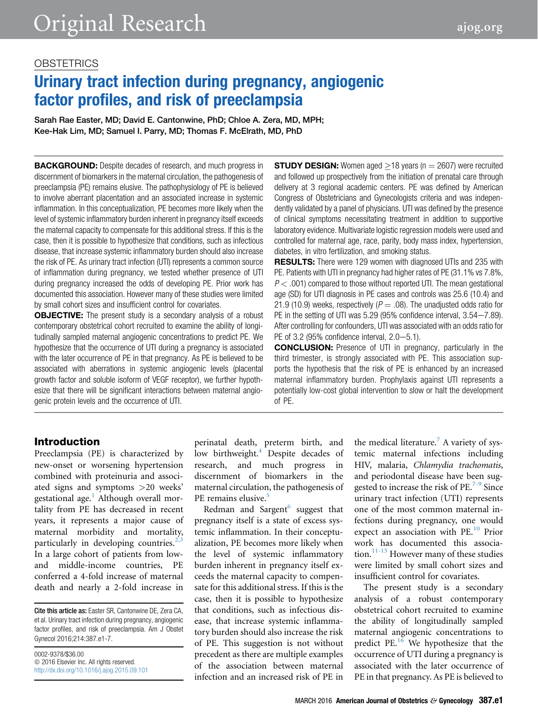# **OBSTETRICS**

# Urinary tract infection during pregnancy, angiogenic factor profiles, and risk of preeclampsia

Sarah Rae Easter, MD; David E. Cantonwine, PhD; Chloe A. Zera, MD, MPH; Kee-Hak Lim, MD; Samuel I. Parry, MD; Thomas F. McElrath, MD, PhD

**BACKGROUND:** Despite decades of research, and much progress in discernment of biomarkers in the maternal circulation, the pathogenesis of preeclampsia (PE) remains elusive. The pathophysiology of PE is believed to involve aberrant placentation and an associated increase in systemic inflammation. In this conceptualization, PE becomes more likely when the level of systemic inflammatory burden inherent in pregnancy itself exceeds the maternal capacity to compensate for this additional stress. If this is the case, then it is possible to hypothesize that conditions, such as infectious disease, that increase systemic inflammatory burden should also increase the risk of PE. As urinary tract infection (UTI) represents a common source of inflammation during pregnancy, we tested whether presence of UTI during pregnancy increased the odds of developing PE. Prior work has documented this association. However many of these studies were limited by small cohort sizes and insufficient control for covariates.

**OBJECTIVE:** The present study is a secondary analysis of a robust contemporary obstetrical cohort recruited to examine the ability of longitudinally sampled maternal angiogenic concentrations to predict PE. We hypothesize that the occurrence of UTI during a pregnancy is associated with the later occurrence of PE in that pregnancy. As PE is believed to be associated with aberrations in systemic angiogenic levels (placental growth factor and soluble isoform of VEGF receptor), we further hypothesize that there will be significant interactions between maternal angiogenic protein levels and the occurrence of UTI.

**STUDY DESIGN:** Women aged  $>18$  years (n  $=$  2607) were recruited and followed up prospectively from the initiation of prenatal care through delivery at 3 regional academic centers. PE was defined by American Congress of Obstetricians and Gynecologists criteria and was independently validated by a panel of physicians. UTI was defined by the presence of clinical symptoms necessitating treatment in addition to supportive laboratory evidence. Multivariate logistic regression models were used and controlled for maternal age, race, parity, body mass index, hypertension, diabetes, in vitro fertilization, and smoking status.

**RESULTS:** There were 129 women with diagnosed UTIs and 235 with PE. Patients with UTI in pregnancy had higher rates of PE (31.1% vs 7.8%,  $P < .001$ ) compared to those without reported UTI. The mean gestational age (SD) for UTI diagnosis in PE cases and controls was 25.6 (10.4) and 21.9 (10.9) weeks, respectively ( $P = .08$ ). The unadjusted odds ratio for PE in the setting of UTI was  $5.29$  (95% confidence interval,  $3.54-7.89$ ). After controlling for confounders, UTI was associated with an odds ratio for PE of 3.2 (95% confidence interval,  $2.0 - 5.1$ ).

**CONCLUSION:** Presence of UTI in pregnancy, particularly in the third trimester, is strongly associated with PE. This association supports the hypothesis that the risk of PE is enhanced by an increased maternal inflammatory burden. Prophylaxis against UTI represents a potentially low-cost global intervention to slow or halt the development of PE.

## Introduction

Preeclampsia (PE) is characterized by new-onset or worsening hypertension combined with proteinuria and associated signs and symptoms >20 weeks' gestational age.<sup>[1](#page-5-0)</sup> Although overall mortality from PE has decreased in recent years, it represents a major cause of maternal morbidity and mortality, particularly in developing countries.<sup>[2,3](#page-5-0)</sup> In a large cohort of patients from lowand middle-income countries, PE conferred a 4-fold increase of maternal death and nearly a 2-fold increase in

Cite this article as: Easter SR, Cantonwine DE, Zera CA, et al. Urinary tract infection during pregnancy, angiogenic factor profiles, and risk of preeclampsia. Am J Obstet Gynecol 2016;214:387.e1-7.

0002-9378/\$36.00  $© 2016 Elsevier Inc. All rights reserved.$ <http://dx.doi.org/10.1016/j.ajog.2015.09.101> perinatal death, preterm birth, and low birthweight.<sup>[4](#page-5-0)</sup> Despite decades of research, and much progress in discernment of biomarkers in the maternal circulation, the pathogenesis of PE remains elusive.<sup>5</sup>

Redman and Sargent<sup>[6](#page-5-0)</sup> suggest that pregnancy itself is a state of excess systemic inflammation. In their conceptualization, PE becomes more likely when the level of systemic inflammatory burden inherent in pregnancy itself exceeds the maternal capacity to compensate for this additional stress. If this is the case, then it is possible to hypothesize that conditions, such as infectious disease, that increase systemic inflammatory burden should also increase the risk of PE. This suggestion is not without precedent as there are multiple examples of the association between maternal infection and an increased risk of PE in

the medical literature.<sup>[7](#page-5-0)</sup> A variety of systemic maternal infections including HIV, malaria, Chlamydia trachomatis, and periodontal disease have been suggested to increase the risk of PE. $7-9$  Since urinary tract infection (UTI) represents one of the most common maternal infections during pregnancy, one would expect an association with  $PE<sup>10</sup>$  $PE<sup>10</sup>$  $PE<sup>10</sup>$  Prior work has documented this association.<sup>11-15</sup> However many of these studies were limited by small cohort sizes and insufficient control for covariates.

The present study is a secondary analysis of a robust contemporary obstetrical cohort recruited to examine the ability of longitudinally sampled maternal angiogenic concentrations to predict PE. $^{16}$  $^{16}$  $^{16}$  We hypothesize that the occurrence of UTI during a pregnancy is associated with the later occurrence of PE in that pregnancy. As PE is believed to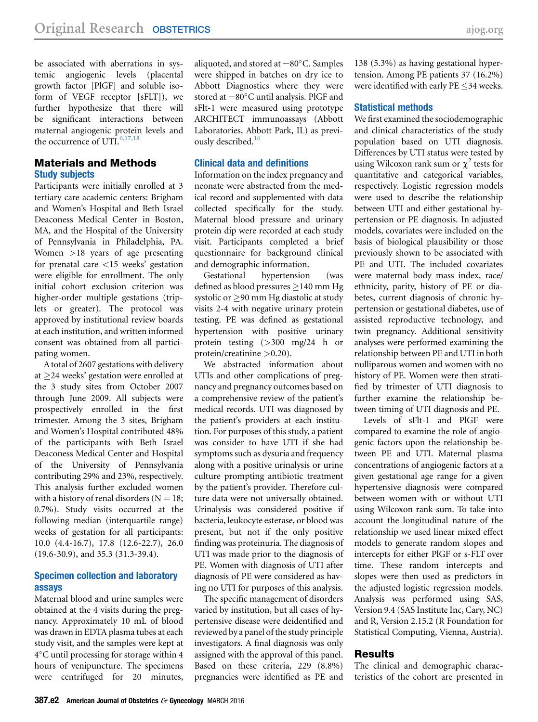be associated with aberrations in systemic angiogenic levels (placental growth factor [PlGF] and soluble iso-

form of VEGF receptor [sFLT]), we further hypothesize that there will be significant interactions between maternal angiogenic protein levels and the occurrence of UTI. $6,17,18$ 

## Materials and Methods Study subjects

Participants were initially enrolled at 3 tertiary care academic centers: Brigham and Women's Hospital and Beth Israel Deaconess Medical Center in Boston, MA, and the Hospital of the University of Pennsylvania in Philadelphia, PA. Women >18 years of age presenting for prenatal care <15 weeks' gestation were eligible for enrollment. The only initial cohort exclusion criterion was higher-order multiple gestations (triplets or greater). The protocol was approved by institutional review boards at each institution, and written informed consent was obtained from all participating women.

A total of 2607 gestations with delivery at  $\geq$ 24 weeks' gestation were enrolled at the 3 study sites from October 2007 through June 2009. All subjects were prospectively enrolled in the first trimester. Among the 3 sites, Brigham and Women's Hospital contributed 48% of the participants with Beth Israel Deaconess Medical Center and Hospital of the University of Pennsylvania contributing 29% and 23%, respectively. This analysis further excluded women with a history of renal disorders ( $N = 18$ ; 0.7%). Study visits occurred at the following median (interquartile range) weeks of gestation for all participants: 10.0 (4.4-16.7), 17.8 (12.6-22.7), 26.0 (19.6-30.9), and 35.3 (31.3-39.4).

## Specimen collection and laboratory assays

Maternal blood and urine samples were obtained at the 4 visits during the pregnancy. Approximately 10 mL of blood was drawn in EDTA plasma tubes at each study visit, and the samples were kept at  $4^{\circ}$ C until processing for storage within 4 hours of venipuncture. The specimens were centrifuged for 20 minutes,

aliquoted, and stored at  $-80^{\circ}$ C. Samples were shipped in batches on dry ice to Abbott Diagnostics where they were stored at  $-80^{\circ}$ C until analysis. PlGF and sFlt-1 were measured using prototype ARCHITECT immunoassays (Abbott Laboratories, Abbott Park, IL) as previ-ously described.<sup>[16](#page-5-0)</sup>

## Clinical data and definitions

Information on the index pregnancy and neonate were abstracted from the medical record and supplemented with data collected specifically for the study. Maternal blood pressure and urinary protein dip were recorded at each study visit. Participants completed a brief questionnaire for background clinical and demographic information.

Gestational hypertension (was defined as blood pressures  $\geq$  140 mm Hg systolic or  $\geq$ 90 mm Hg diastolic at study visits 2-4 with negative urinary protein testing. PE was defined as gestational hypertension with positive urinary protein testing (>300 mg/24 h or protein/creatinine >0.20).

We abstracted information about UTIs and other complications of pregnancy and pregnancy outcomes based on a comprehensive review of the patient's medical records. UTI was diagnosed by the patient's providers at each institution. For purposes of this study, a patient was consider to have UTI if she had symptoms such as dysuria and frequency along with a positive urinalysis or urine culture prompting antibiotic treatment by the patient's provider. Therefore culture data were not universally obtained. Urinalysis was considered positive if bacteria, leukocyte esterase, or blood was present, but not if the only positive finding was proteinuria. The diagnosis of UTI was made prior to the diagnosis of PE. Women with diagnosis of UTI after diagnosis of PE were considered as having no UTI for purposes of this analysis.

The specific management of disorders varied by institution, but all cases of hypertensive disease were deidentified and reviewed by a panel of the study principle investigators. A final diagnosis was only assigned with the approval of this panel. Based on these criteria, 229 (8.8%) pregnancies were identified as PE and

138 (5.3%) as having gestational hypertension. Among PE patients 37 (16.2%) were identified with early PE <34 weeks.

## Statistical methods

We first examined the sociodemographic and clinical characteristics of the study population based on UTI diagnosis. Differences by UTI status were tested by using Wilcoxon rank sum or  $\chi^2$  tests for quantitative and categorical variables, respectively. Logistic regression models were used to describe the relationship between UTI and either gestational hypertension or PE diagnosis. In adjusted models, covariates were included on the basis of biological plausibility or those previously shown to be associated with PE and UTI. The included covariates were maternal body mass index, race/ ethnicity, parity, history of PE or diabetes, current diagnosis of chronic hypertension or gestational diabetes, use of assisted reproductive technology, and twin pregnancy. Additional sensitivity analyses were performed examining the relationship between PE and UTI in both nulliparous women and women with no history of PE. Women were then stratified by trimester of UTI diagnosis to further examine the relationship between timing of UTI diagnosis and PE.

Levels of sFlt-1 and PlGF were compared to examine the role of angiogenic factors upon the relationship between PE and UTI. Maternal plasma concentrations of angiogenic factors at a given gestational age range for a given hypertensive diagnosis were compared between women with or without UTI using Wilcoxon rank sum. To take into account the longitudinal nature of the relationship we used linear mixed effect models to generate random slopes and intercepts for either PlGF or s-FLT over time. These random intercepts and slopes were then used as predictors in the adjusted logistic regression models. Analysis was performed using SAS, Version 9.4 (SAS Institute Inc, Cary, NC) and R, Version 2.15.2 (R Foundation for Statistical Computing, Vienna, Austria).

# **Results**

The clinical and demographic characteristics of the cohort are presented in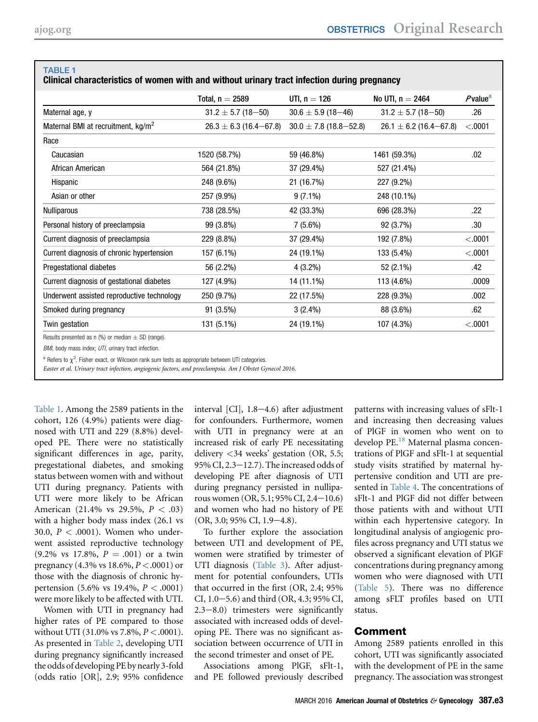#### TABLE 1

#### Clinical characteristics of women with and without urinary tract infection during pregnancy

|                                                          | Total, $n = 2589$          | UTI, $n = 126$             | No UTI, $n = 2464$         | $P$ value $^{\rm a}$ |
|----------------------------------------------------------|----------------------------|----------------------------|----------------------------|----------------------|
| Maternal age, y                                          | $31.2 \pm 5.7$ (18-50)     | $30.6 \pm 5.9$ (18-46)     | $31.2 \pm 5.7$ (18-50)     | .26                  |
| Maternal BMI at recruitment, kg/m <sup>2</sup>           | $26.3 \pm 6.3$ (16.4–67.8) | $30.0 \pm 7.8$ (18.8–52.8) | $26.1 \pm 6.2$ (16.4–67.8) | < .0001              |
| Race                                                     |                            |                            |                            |                      |
| Caucasian                                                | 1520 (58.7%)               | 59 (46.8%)                 | 1461 (59.3%)               | .02                  |
| African American                                         | 564 (21.8%)                | 37 (29.4%)                 | 527 (21.4%)                |                      |
| Hispanic                                                 | 248 (9.6%)                 | 21 (16.7%)                 | 227 (9.2%)                 |                      |
| Asian or other                                           | 257 (9.9%)                 | $9(7.1\%)$                 | 248 (10.1%)                |                      |
| <b>Nulliparous</b>                                       | 738 (28.5%)                | 42 (33.3%)                 | 696 (28.3%)                | .22                  |
| Personal history of preeclampsia                         | 99 (3.8%)                  | $7(5.6\%)$                 | 92 (3.7%)                  | .30 <sub>1</sub>     |
| Current diagnosis of preeclampsia                        | 229 (8.8%)                 | 37 (29.4%)                 | 192 (7.8%)                 | < .0001              |
| Current diagnosis of chronic hypertension                | 157 (6.1%)                 | 24 (19.1%)                 | 133 (5.4%)                 | < .0001              |
| Pregestational diabetes                                  | 56 (2.2%)                  | $4(3.2\%)$                 | 52 (2.1%)                  | .42                  |
| Current diagnosis of gestational diabetes                | 127 (4.9%)                 | 14 (11.1%)                 | 113 (4.6%)                 | .0009                |
| Underwent assisted reproductive technology               | 250 (9.7%)                 | 22 (17.5%)                 | 228 (9.3%)                 | .002                 |
| Smoked during pregnancy                                  | 91 (3.5%)                  | $3(2.4\%)$                 | 88 (3.6%)                  | .62                  |
| Twin gestation                                           | 131 (5.1%)                 | 24 (19.1%)                 | 107 (4.3%)                 | < .0001              |
| Results presented as $n$ (%) or median $\pm$ SD (range). |                            |                            |                            |                      |

BMI, body mass index; UTI, urinary tract infection.

<sup>a</sup> Refers to  $\chi^2$ , Fisher exact, or Wilcoxon rank sum tests as appropriate between UTI categories.

Easter et al. Urinary tract infection, angiogenic factors, and preeclampsia. Am J Obstet Gynecol 2016.

Table 1. Among the 2589 patients in the cohort, 126 (4.9%) patients were diagnosed with UTI and 229 (8.8%) developed PE. There were no statistically significant differences in age, parity, pregestational diabetes, and smoking status between women with and without UTI during pregnancy. Patients with UTI were more likely to be African American (21.4% vs 29.5%,  $P < .03$ ) with a higher body mass index (26.1 vs 30.0,  $P < .0001$ ). Women who underwent assisted reproductive technology  $(9.2\% \text{ vs } 17.8\%, P = .001) \text{ or a twin}$ pregnancy (4.3% vs  $18.6\%, P < .0001$ ) or those with the diagnosis of chronic hypertension (5.6% vs 19.4%,  $P < .0001$ ) were more likely to be affected with UTI.

Women with UTI in pregnancy had higher rates of PE compared to those without UTI (31.0% vs 7.8%,  $P < .0001$ ). As presented in [Table 2](#page-3-0), developing UTI during pregnancy significantly increased the odds of developing PE by nearly 3-fold (odds ratio [OR], 2.9; 95% confidence

interval  $\lbrack$  CI $\rbrack$ , 1.8–4.6) after adjustment for confounders. Furthermore, women with UTI in pregnancy were at an increased risk of early PE necessitating delivery <34 weeks' gestation (OR, 5.5; 95% CI,  $2.3-12.7$ ). The increased odds of developing PE after diagnosis of UTI during pregnancy persisted in nulliparous women (OR, 5.1; 95% CI, 2.4 $-10.6$ ) and women who had no history of PE  $(OR, 3.0; 95\% CI, 1.9-4.8).$ 

To further explore the association between UTI and development of PE, women were stratified by trimester of UTI diagnosis [\(Table 3\)](#page-3-0). After adjustment for potential confounders, UTIs that occurred in the first (OR, 2.4; 95% CI,  $1.0-5.6$ ) and third (OR, 4.3; 95% CI,  $2.3-8.0$ ) trimesters were significantly associated with increased odds of developing PE. There was no significant association between occurrence of UTI in the second trimester and onset of PE.

Associations among PlGF, sFlt-1, and PE followed previously described patterns with increasing values of sFlt-1 and increasing then decreasing values of PlGF in women who went on to develop PE.<sup>[18](#page-5-0)</sup> Maternal plasma concentrations of PlGF and sFlt-1 at sequential study visits stratified by maternal hypertensive condition and UTI are presented in [Table 4.](#page-4-0) The concentrations of sFlt-1 and PlGF did not differ between those patients with and without UTI within each hypertensive category. In longitudinal analysis of angiogenic profiles across pregnancy and UTI status we observed a significant elevation of PlGF concentrations during pregnancy among women who were diagnosed with UTI [\(Table 5\)](#page-4-0). There was no difference among sFLT profiles based on UTI status.

## Comment

Among 2589 patients enrolled in this cohort, UTI was significantly associated with the development of PE in the same pregnancy. The association was strongest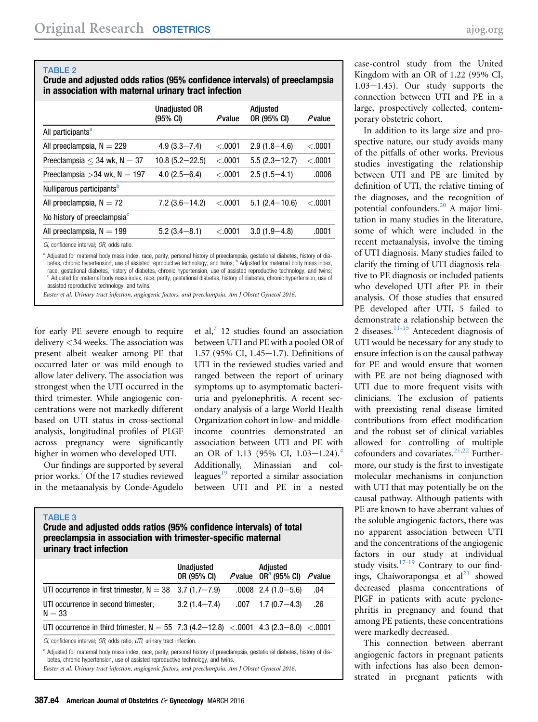#### <span id="page-3-0"></span>TABLE 2

Crude and adjusted odds ratios (95% confidence intervals) of preeclampsia in association with maternal urinary tract infection

|                                          | <b>Unadjusted OR</b><br>$(95% \text{ Cl})$ | $P$ value | Adjusted<br>OR (95% CI) | $P$ value |
|------------------------------------------|--------------------------------------------|-----------|-------------------------|-----------|
| All participants <sup>a</sup>            |                                            |           |                         |           |
| All preeclampsia, $N = 229$              | $4.9(3.3 - 7.4)$                           | < 0.001   | $2.9(1.8 - 4.6)$        | < 0.001   |
| Preeclampsia $\leq$ 34 wk, N = 37        | $10.8(5.2 - 22.5)$                         | < 0.001   | $5.5(2.3 - 12.7)$       | < 0.001   |
| Preeclampsia > 34 wk, $N = 197$          | $4.0(2.5 - 6.4)$                           | < 0.001   | $2.5(1.5 - 4.1)$        | .0006     |
| Nulliparous participants <sup>b</sup>    |                                            |           |                         |           |
| All preeclampsia, $N = 72$               | $7.2(3.6 - 14.2)$                          | < .0001   | $5.1(2.4 - 10.6)$       | < 0.001   |
| No history of preeclampsia <sup>c</sup>  |                                            |           |                         |           |
| All preeclampsia, $N = 199$              | $5.2(3.4 - 8.1)$                           | < 0.001   | $3.0(1.9 - 4.8)$        | .0001     |
| CI, confidence interval; OR, odds ratio. |                                            |           |                         |           |

<sup>a</sup> Adjusted for maternal body mass index, race, parity, personal history of preeclampsia, gestational diabetes, history of diabetes, chronic hypertension, use of assisted reproductive technology, and twins; <sup>b</sup> Adjusted for maternal body mass index, race, gestational diabetes, history of diabetes, chronic hypertension, use of assisted reproductive technology, and twins; <sup>c</sup> Adjusted for maternal body mass index, race, parity, gestational diabetes, history of diabetes, chronic hypertension, use of assisted reproductive technology, and twins.

Easter et al. Urinary tract infection, angiogenic factors, and preeclampsia. Am J Obstet Gynecol 2016.

for early PE severe enough to require delivery <34 weeks. The association was present albeit weaker among PE that occurred later or was mild enough to allow later delivery. The association was strongest when the UTI occurred in the third trimester. While angiogenic concentrations were not markedly different based on UTI status in cross-sectional analysis, longitudinal profiles of PLGF across pregnancy were significantly higher in women who developed UTI.

Our findings are supported by several prior works.<sup>[7](#page-5-0)</sup> Of the 17 studies reviewed in the metaanalysis by Conde-Agudelo et al, $\frac{7}{7}$  $\frac{7}{7}$  $\frac{7}{7}$  12 studies found an association between UTI and PE with a pooled OR of 1.57 (95% CI, 1.45 $-1.7$ ). Definitions of UTI in the reviewed studies varied and ranged between the report of urinary symptoms up to asymptomatic bacteriuria and pyelonephritis. A recent secondary analysis of a large World Health Organization cohort in low- and middleincome countries demonstrated an association between UTI and PE with an OR of 1.13 (95% CI,  $1.03-1.24$  $1.03-1.24$ ).<sup>4</sup> Additionally, Minassian and colleagues $19$  reported a similar association between UTI and PE in a nested

#### TABLE 3

#### Crude and adjusted odds ratios (95% confidence intervals) of total preeclampsia in association with trimester-specific maternal urinary tract infection

|                                                                                        | <b>Unadjusted</b><br>OR (95% CI) | Adjusted<br>Pvalue $OR^a$ (95% CI) | Pvalue |
|----------------------------------------------------------------------------------------|----------------------------------|------------------------------------|--------|
| UTI occurrence in first trimester, $N = 38$ 3.7 (1.7–7.9)                              |                                  | $.0008$ 2.4 (1.0 - 5.6)            | .04    |
| UTI occurrence in second trimester,<br>$N = 33$                                        | $3.2(1.4 - 7.4)$                 | $.007$ 1.7 (0.7 - 4.3)             | .26    |
| UTI occurrence in third trimester, $N = 55$ 7.3 (4.2-12.8) <.0001 4.3 (2.3-8.0) <.0001 |                                  |                                    |        |
|                                                                                        |                                  |                                    |        |

CI, confidence interval; OR, odds ratio; UTI, urinary tract infection.

a Adjusted for maternal body mass index, race, parity, personal history of preeclampsia, gestational diabetes, history of diabetes, chronic hypertension, use of assisted reproductive technology, and twins.

Easter et al. Urinary tract infection, angiogenic factors, and preeclampsia. Am J Obstet Gynecol 2016.

case-control study from the United Kingdom with an OR of 1.22 (95% CI,  $1.03-1.45$ ). Our study supports the connection between UTI and PE in a large, prospectively collected, contemporary obstetric cohort.

In addition to its large size and prospective nature, our study avoids many of the pitfalls of other works. Previous studies investigating the relationship between UTI and PE are limited by definition of UTI, the relative timing of the diagnoses, and the recognition of potential confounders.[20](#page-5-0) A major limitation in many studies in the literature, some of which were included in the recent metaanalysis, involve the timing of UTI diagnosis. Many studies failed to clarify the timing of UTI diagnosis relative to PE diagnosis or included patients who developed UTI after PE in their analysis. Of those studies that ensured PE developed after UTI, 5 failed to demonstrate a relationship between the 2 diseases. $11-15$  Antecedent diagnosis of UTI would be necessary for any study to ensure infection is on the causal pathway for PE and would ensure that women with PE are not being diagnosed with UTI due to more frequent visits with clinicians. The exclusion of patients with preexisting renal disease limited contributions from effect modification and the robust set of clinical variables allowed for controlling of multiple cofounders and covariates.<sup>[21,22](#page-5-0)</sup> Furthermore, our study is the first to investigate molecular mechanisms in conjunction with UTI that may potentially be on the causal pathway. Although patients with PE are known to have aberrant values of the soluble angiogenic factors, there was no apparent association between UTI and the concentrations of the angiogenic factors in our study at individual study visits.<sup>17-19</sup> Contrary to our findings, Chaiworapongsa et  $al<sup>23</sup>$  $al<sup>23</sup>$  $al<sup>23</sup>$  showed decreased plasma concentrations of PlGF in patients with acute pyelonephritis in pregnancy and found that among PE patients, these concentrations were markedly decreased.

This connection between aberrant angiogenic factors in pregnant patients with infections has also been demonstrated in pregnant patients with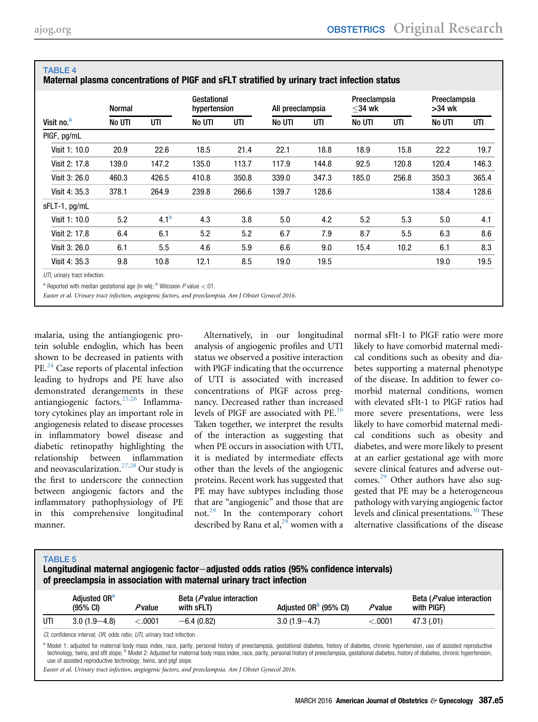<span id="page-4-0"></span>TABLE 4

|                        | Normal |                  | Gestational<br>hypertension |       | All preeclampsia |       | Preeclampsia<br>$<$ 34 wk |       | Preeclampsia<br>>34 wk |       |
|------------------------|--------|------------------|-----------------------------|-------|------------------|-------|---------------------------|-------|------------------------|-------|
| Visit no. <sup>a</sup> | No UTI | UTI              | No UTI                      | UTI   | No UTI           | UTI   | No UTI                    | UTI   | No UTI                 | UTI   |
| PIGF, pg/mL            |        |                  |                             |       |                  |       |                           |       |                        |       |
| Visit 1: 10.0          | 20.9   | 22.6             | 18.5                        | 21.4  | 22.1             | 18.8  | 18.9                      | 15.8  | 22.2                   | 19.7  |
| Visit 2: 17.8          | 139.0  | 147.2            | 135.0                       | 113.7 | 117.9            | 144.8 | 92.5                      | 120.8 | 120.4                  | 146.3 |
| Visit 3: 26.0          | 460.3  | 426.5            | 410.8                       | 350.8 | 339.0            | 347.3 | 185.0                     | 256.8 | 350.3                  | 365.4 |
| Visit 4: 35.3          | 378.1  | 264.9            | 239.8                       | 266.6 | 139.7            | 128.6 |                           |       | 138.4                  | 128.6 |
| sFLT-1, pg/mL          |        |                  |                             |       |                  |       |                           |       |                        |       |
| Visit 1: 10.0          | 5.2    | 4.1 <sup>b</sup> | 4.3                         | 3.8   | 5.0              | 4.2   | 5.2                       | 5.3   | 5.0                    | 4.1   |
| Visit 2: 17.8          | 6.4    | 6.1              | 5.2                         | 5.2   | 6.7              | 7.9   | 8.7                       | 5.5   | 6.3                    | 8.6   |
| Visit 3: 26.0          | 6.1    | 5.5              | 4.6                         | 5.9   | 6.6              | 9.0   | 15.4                      | 10.2  | 6.1                    | 8.3   |
| Visit 4: 35.3          | 9.8    | 10.8             | 12.1                        | 8.5   | 19.0             | 19.5  |                           |       | 19.0                   | 19.5  |

Maternal plasma concentrations of PlGF and sFLT stratified by urinary tract infection status

Easter et al. Urinary tract infection, angiogenic factors, and preeclampsia. Am J Obstet Gynecol 2016.

malaria, using the antiangiogenic protein soluble endoglin, which has been shown to be decreased in patients with PE.<sup>[24](#page-5-0)</sup> Case reports of placental infection leading to hydrops and PE have also demonstrated derangements in these antiangiogenic factors.[25,26](#page-5-0) Inflammatory cytokines play an important role in angiogenesis related to disease processes in inflammatory bowel disease and diabetic retinopathy highlighting the relationship between inflammation and neovascularization.<sup>[27,28](#page-5-0)</sup> Our study is the first to underscore the connection between angiogenic factors and the inflammatory pathophysiology of PE in this comprehensive longitudinal manner.

Alternatively, in our longitudinal analysis of angiogenic profiles and UTI status we observed a positive interaction with PlGF indicating that the occurrence of UTI is associated with increased concentrations of PlGF across pregnancy. Decreased rather than increased levels of PlGF are associated with PE.[16](#page-5-0) Taken together, we interpret the results of the interaction as suggesting that when PE occurs in association with UTI, it is mediated by intermediate effects other than the levels of the angiogenic proteins. Recent work has suggested that PE may have subtypes including those that are "angiogenic" and those that are not.[29](#page-6-0) In the contemporary cohort described by Rana et al,  $2^9$  women with a

normal sFlt-1 to PlGF ratio were more likely to have comorbid maternal medical conditions such as obesity and diabetes supporting a maternal phenotype of the disease. In addition to fewer comorbid maternal conditions, women with elevated sFlt-1 to PlGF ratios had more severe presentations, were less likely to have comorbid maternal medical conditions such as obesity and diabetes, and were more likely to present at an earlier gestational age with more severe clinical features and adverse out-comes.<sup>[29](#page-6-0)</sup> Other authors have also suggested that PE may be a heterogeneous pathology with varying angiogenic factor levels and clinical presentations.<sup>[30](#page-6-0)</sup> These alternative classifications of the disease

| . . |  |
|-----|--|
| . . |  |
|     |  |

Longitudinal maternal angiogenic factor—adjusted odds ratios (95% confidence intervals) of preeclampsia in association with maternal urinary tract infection

|     | Adiusted OR <sup>a</sup><br>$(95% \text{ Cl})$ | <sup>o</sup> value    | Beta ( <i>P</i> value interaction<br>with sFLT) | Adjusted OR <sup>D</sup> (95% CI) | Pvalue | Beta ( <i>P</i> value interaction<br>with PIGF) |
|-----|------------------------------------------------|-----------------------|-------------------------------------------------|-----------------------------------|--------|-------------------------------------------------|
| UTI | $3.0(1.9 - 4.8)$                               | $_{\tiny \sim}$ .0001 | $-6.4(0.82)$                                    | $3.0(1.9 - 4.7)$                  | 0.0001 | 47.3 (.01)                                      |

CI, confidence interval: OR, odds ratio: UTI, urinary tract infection.

a Model 1: adjusted for maternal body mass index, race, parity, personal history of preeclampsia, gestational diabetes, history of diabetes, chronic hypertension, use of assisted reproductive technology, twins, and sflt slope; <sup>b</sup> Model 2: Adjusted for maternal body mass index, race, parity, personal history of preeclampsia, gestational diabetes, history of diabetes, chronic hypertension, use of assisted reproductive technology, twins, and plgf slope.

Easter et al. Urinary tract infection, angiogenic factors, and preeclampsia. Am J Obstet Gynecol 2016.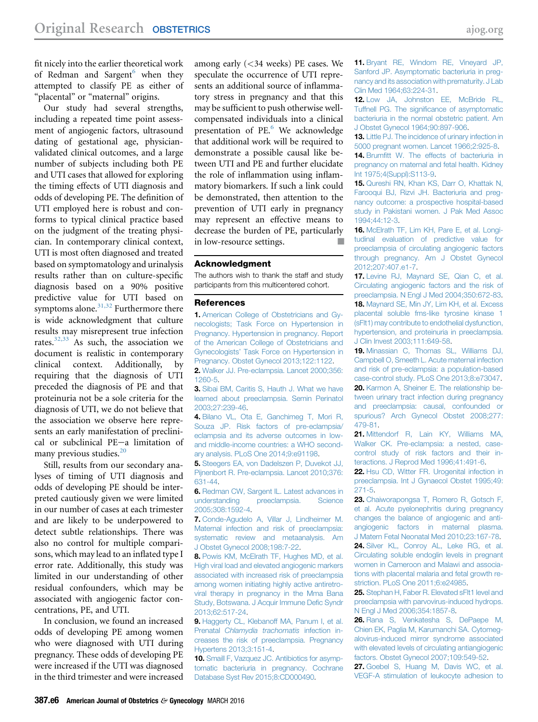<span id="page-5-0"></span>fit nicely into the earlier theoretical work of Redman and Sargent<sup>6</sup> when they attempted to classify PE as either of "placental" or "maternal" origins.

Our study had several strengths, including a repeated time point assessment of angiogenic factors, ultrasound dating of gestational age, physicianvalidated clinical outcomes, and a large number of subjects including both PE and UTI cases that allowed for exploring the timing effects of UTI diagnosis and odds of developing PE. The definition of UTI employed here is robust and conforms to typical clinical practice based on the judgment of the treating physician. In contemporary clinical context, UTI is most often diagnosed and treated based on symptomatology and urinalysis results rather than on culture-specific diagnosis based on a 90% positive predictive value for UTI based on symptoms alone.<sup>[31,32](#page-6-0)</sup> Furthermore there is wide acknowledgment that culture results may misrepresent true infection rates. $32,33$  As such, the association we document is realistic in contemporary clinical context. Additionally, by requiring that the diagnosis of UTI preceded the diagnosis of PE and that proteinuria not be a sole criteria for the diagnosis of UTI, we do not believe that the association we observe here represents an early manifestation of preclinical or subclinical PE-a limitation of many previous studies. $20$ 

Still, results from our secondary analyses of timing of UTI diagnosis and odds of developing PE should be interpreted cautiously given we were limited in our number of cases at each trimester and are likely to be underpowered to detect subtle relationships. There was also no control for multiple comparisons, which may lead to an inflated type I error rate. Additionally, this study was limited in our understanding of other residual confounders, which may be associated with angiogenic factor concentrations, PE, and UTI.

In conclusion, we found an increased odds of developing PE among women who were diagnosed with UTI during pregnancy. These odds of developing PE were increased if the UTI was diagnosed in the third trimester and were increased

among early (<34 weeks) PE cases. We speculate the occurrence of UTI represents an additional source of inflammatory stress in pregnancy and that this may be sufficient to push otherwise wellcompensated individuals into a clinical presentation of PE.<sup>6</sup> We acknowledge that additional work will be required to demonstrate a possible causal like between UTI and PE and further elucidate the role of inflammation using inflammatory biomarkers. If such a link could be demonstrated, then attention to the prevention of UTI early in pregnancy may represent an effective means to decrease the burden of PE, particularly in low-resource settings.

#### Acknowledgment

The authors wish to thank the staff and study participants from this multicentered cohort.

#### References

1. [American College of Obstetricians and Gy](http://refhub.elsevier.com/S0002-9378(15)01215-6/sref1)[necologists; Task Force on Hypertension in](http://refhub.elsevier.com/S0002-9378(15)01215-6/sref1) [Pregnancy. Hypertension in pregnancy. Report](http://refhub.elsevier.com/S0002-9378(15)01215-6/sref1) [of the American College of Obstetricians and](http://refhub.elsevier.com/S0002-9378(15)01215-6/sref1) Gynecologists' [Task Force on Hypertension in](http://refhub.elsevier.com/S0002-9378(15)01215-6/sref1) [Pregnancy. Obstet Gynecol 2013;122:1122](http://refhub.elsevier.com/S0002-9378(15)01215-6/sref1).

2. [Walker JJ. Pre-eclampsia. Lancet 2000;356:](http://refhub.elsevier.com/S0002-9378(15)01215-6/sref2) [1260-5](http://refhub.elsevier.com/S0002-9378(15)01215-6/sref2).

3. [Sibai BM, Caritis S, Hauth J. What we have](http://refhub.elsevier.com/S0002-9378(15)01215-6/sref3) [learned about preeclampsia. Semin Perinatol](http://refhub.elsevier.com/S0002-9378(15)01215-6/sref3) [2003;27:239-46.](http://refhub.elsevier.com/S0002-9378(15)01215-6/sref3)

4. [Bilano VL, Ota E, Ganchimeg T, Mori R,](http://refhub.elsevier.com/S0002-9378(15)01215-6/sref4) [Souza JP. Risk factors of pre-eclampsia/](http://refhub.elsevier.com/S0002-9378(15)01215-6/sref4) [eclampsia and its adverse outcomes in low](http://refhub.elsevier.com/S0002-9378(15)01215-6/sref4)[and middle-income countries: a WHO second](http://refhub.elsevier.com/S0002-9378(15)01215-6/sref4)[ary analysis. PLoS One 2014;9:e91198](http://refhub.elsevier.com/S0002-9378(15)01215-6/sref4).

5. [Steegers EA, von Dadelszen P, Duvekot JJ,](http://refhub.elsevier.com/S0002-9378(15)01215-6/sref5) [Pijnenbort R. Pre-eclampsia. Lancet 2010;376:](http://refhub.elsevier.com/S0002-9378(15)01215-6/sref5) [631-44](http://refhub.elsevier.com/S0002-9378(15)01215-6/sref5).

6. [Redman CW, Sargent IL. Latest advances in](http://refhub.elsevier.com/S0002-9378(15)01215-6/sref6) [understanding preeclampsia. Science](http://refhub.elsevier.com/S0002-9378(15)01215-6/sref6) [2005;308:1592-4](http://refhub.elsevier.com/S0002-9378(15)01215-6/sref6).

7. [Conde-Agudelo A, Villar J, Lindheimer M.](http://refhub.elsevier.com/S0002-9378(15)01215-6/sref7) [Maternal infection and risk of preeclampsia:](http://refhub.elsevier.com/S0002-9378(15)01215-6/sref7) [systematic review and metaanalysis. Am](http://refhub.elsevier.com/S0002-9378(15)01215-6/sref7) [J Obstet Gynecol 2008;198:7-22](http://refhub.elsevier.com/S0002-9378(15)01215-6/sref7).

8. [Powis KM, McElrath TF, Hughes MD, et al.](http://refhub.elsevier.com/S0002-9378(15)01215-6/sref8) [High viral load and elevated angiogenic markers](http://refhub.elsevier.com/S0002-9378(15)01215-6/sref8) [associated with increased risk of preeclampsia](http://refhub.elsevier.com/S0002-9378(15)01215-6/sref8) [among women initiating highly active antiretro](http://refhub.elsevier.com/S0002-9378(15)01215-6/sref8)[viral therapy in pregnancy in the Mma Bana](http://refhub.elsevier.com/S0002-9378(15)01215-6/sref8) [Study, Botswana. J Acquir Immune De](http://refhub.elsevier.com/S0002-9378(15)01215-6/sref8)fic Syndr [2013;62:517-24.](http://refhub.elsevier.com/S0002-9378(15)01215-6/sref8)

9. [Haggerty CL, Klebanoff MA, Panum I, et al.](http://refhub.elsevier.com/S0002-9378(15)01215-6/sref9) Prenatal [Chlamydia trachomatis](http://refhub.elsevier.com/S0002-9378(15)01215-6/sref9) infection in[creases the risk of preeclampsia. Pregnancy](http://refhub.elsevier.com/S0002-9378(15)01215-6/sref9) [Hypertens 2013;3:151-4.](http://refhub.elsevier.com/S0002-9378(15)01215-6/sref9)

10. [Smaill F, Vazquez JC. Antibiotics for asymp](http://refhub.elsevier.com/S0002-9378(15)01215-6/sref10)[tomatic bacteriuria in pregnancy. Cochrane](http://refhub.elsevier.com/S0002-9378(15)01215-6/sref10) [Database Syst Rev 2015;8:CD000490.](http://refhub.elsevier.com/S0002-9378(15)01215-6/sref10)

11. [Bryant RE, Windom RE, Vineyard JP,](http://refhub.elsevier.com/S0002-9378(15)01215-6/sref11) [Sanford JP. Asymptomatic bacteriuria in preg](http://refhub.elsevier.com/S0002-9378(15)01215-6/sref11)[nancy and its association with prematurity. J Lab](http://refhub.elsevier.com/S0002-9378(15)01215-6/sref11) [Clin Med 1964;63:224-31](http://refhub.elsevier.com/S0002-9378(15)01215-6/sref11).

12. [Low JA, Johnston EE, McBride RL,](http://refhub.elsevier.com/S0002-9378(15)01215-6/sref12) Tuffnell PG. The signifi[cance of asymptomatic](http://refhub.elsevier.com/S0002-9378(15)01215-6/sref12) [bacteriuria in the normal obstetric patient. Am](http://refhub.elsevier.com/S0002-9378(15)01215-6/sref12) [J Obstet Gynecol 1964;90:897-906](http://refhub.elsevier.com/S0002-9378(15)01215-6/sref12).

13. [Little PJ. The incidence of urinary infection in](http://refhub.elsevier.com/S0002-9378(15)01215-6/sref13) [5000 pregnant women. Lancet 1966;2:925-8.](http://refhub.elsevier.com/S0002-9378(15)01215-6/sref13)

14. Brumfi[tt W. The effects of bacteriuria in](http://refhub.elsevier.com/S0002-9378(15)01215-6/sref14) [pregnancy on maternal and fetal health. Kidney](http://refhub.elsevier.com/S0002-9378(15)01215-6/sref14) [Int 1975;4\(Suppl\):S113-9](http://refhub.elsevier.com/S0002-9378(15)01215-6/sref14).

15. [Qureshi RN, Khan KS, Darr O, Khattak N,](http://refhub.elsevier.com/S0002-9378(15)01215-6/sref15) [Farooqui BJ, Rizvi JH. Bacteriuria and preg](http://refhub.elsevier.com/S0002-9378(15)01215-6/sref15)[nancy outcome: a prospective hospital-based](http://refhub.elsevier.com/S0002-9378(15)01215-6/sref15) [study in Pakistani women. J Pak Med Assoc](http://refhub.elsevier.com/S0002-9378(15)01215-6/sref15) [1994;44:12-3](http://refhub.elsevier.com/S0002-9378(15)01215-6/sref15).

16. [McElrath TF, Lim KH, Pare E, et al. Longi](http://refhub.elsevier.com/S0002-9378(15)01215-6/sref16)[tudinal evaluation of predictive value for](http://refhub.elsevier.com/S0002-9378(15)01215-6/sref16) [preeclampsia of circulating angiogenic factors](http://refhub.elsevier.com/S0002-9378(15)01215-6/sref16) [through pregnancy. Am J Obstet Gynecol](http://refhub.elsevier.com/S0002-9378(15)01215-6/sref16) [2012;207:407.e1-7.](http://refhub.elsevier.com/S0002-9378(15)01215-6/sref16)

17. [Levine RJ, Maynard SE, Qian C, et al.](http://refhub.elsevier.com/S0002-9378(15)01215-6/sref17) [Circulating angiogenic factors and the risk of](http://refhub.elsevier.com/S0002-9378(15)01215-6/sref17) [preeclampsia. N Engl J Med 2004;350:672-83.](http://refhub.elsevier.com/S0002-9378(15)01215-6/sref17) 18. [Maynard SE, Min JY, Lim KH, et al. Excess](http://refhub.elsevier.com/S0002-9378(15)01215-6/sref18) [placental soluble fms-like tyrosine kinase 1](http://refhub.elsevier.com/S0002-9378(15)01215-6/sref18) [\(sFlt1\) may contribute to endothelial dysfunction,](http://refhub.elsevier.com/S0002-9378(15)01215-6/sref18) [hypertension, and proteinuria in preeclampsia.](http://refhub.elsevier.com/S0002-9378(15)01215-6/sref18) [J Clin Invest 2003;111:649-58](http://refhub.elsevier.com/S0002-9378(15)01215-6/sref18).

19. [Minassian C, Thomas SL, Williams DJ,](http://refhub.elsevier.com/S0002-9378(15)01215-6/sref19) [Campbell O, Smeeth L. Acute maternal infection](http://refhub.elsevier.com/S0002-9378(15)01215-6/sref19) [and risk of pre-eclampsia: a population-based](http://refhub.elsevier.com/S0002-9378(15)01215-6/sref19) [case-control study. PLoS One 2013;8:e73047.](http://refhub.elsevier.com/S0002-9378(15)01215-6/sref19) 20. [Karmon A, Sheiner E. The relationship be](http://refhub.elsevier.com/S0002-9378(15)01215-6/sref20)[tween urinary tract infection during pregnancy](http://refhub.elsevier.com/S0002-9378(15)01215-6/sref20) [and preeclampsia: causal, confounded or](http://refhub.elsevier.com/S0002-9378(15)01215-6/sref20) [spurious? Arch Gynecol Obstet 2008;277:](http://refhub.elsevier.com/S0002-9378(15)01215-6/sref20) [479-81](http://refhub.elsevier.com/S0002-9378(15)01215-6/sref20).

21. [Mittendorf R, Lain KY, Williams MA,](http://refhub.elsevier.com/S0002-9378(15)01215-6/sref21) [Walker CK. Pre-eclampsia: a nested, case](http://refhub.elsevier.com/S0002-9378(15)01215-6/sref21)[control study of risk factors and their in](http://refhub.elsevier.com/S0002-9378(15)01215-6/sref21)[teractions. J Reprod Med 1996;41:491-6.](http://refhub.elsevier.com/S0002-9378(15)01215-6/sref21)

22. [Hsu CD, Witter FR. Urogenital infection in](http://refhub.elsevier.com/S0002-9378(15)01215-6/sref22) [preeclampsia. Int J Gynaecol Obstet 1995;49:](http://refhub.elsevier.com/S0002-9378(15)01215-6/sref22) [271-5](http://refhub.elsevier.com/S0002-9378(15)01215-6/sref22).

23. [Chaiworapongsa T, Romero R, Gotsch F,](http://refhub.elsevier.com/S0002-9378(15)01215-6/sref23) [et al. Acute pyelonephritis during pregnancy](http://refhub.elsevier.com/S0002-9378(15)01215-6/sref23) [changes the balance of angiogenic and anti](http://refhub.elsevier.com/S0002-9378(15)01215-6/sref23)[angiogenic factors in maternal plasma.](http://refhub.elsevier.com/S0002-9378(15)01215-6/sref23) [J Matern Fetal Neonatal Med 2010;23:167-78.](http://refhub.elsevier.com/S0002-9378(15)01215-6/sref23) 24. [Silver KL, Conroy AL, Leke RG, et al.](http://refhub.elsevier.com/S0002-9378(15)01215-6/sref24) [Circulating soluble endoglin levels in pregnant](http://refhub.elsevier.com/S0002-9378(15)01215-6/sref24) [women in Cameroon and Malawi and associa](http://refhub.elsevier.com/S0002-9378(15)01215-6/sref24)[tions with placental malaria and fetal growth re](http://refhub.elsevier.com/S0002-9378(15)01215-6/sref24)[striction. PLoS One 2011;6:e24985.](http://refhub.elsevier.com/S0002-9378(15)01215-6/sref24)

25. [Stephan H, Faber R. Elevated sFlt1 level and](http://refhub.elsevier.com/S0002-9378(15)01215-6/sref25) [preeclampsia with parvovirus-induced hydrops.](http://refhub.elsevier.com/S0002-9378(15)01215-6/sref25) [N Engl J Med 2006;354:1857-8](http://refhub.elsevier.com/S0002-9378(15)01215-6/sref25).

26. [Rana S, Venkatesha S, DePaepe M,](http://refhub.elsevier.com/S0002-9378(15)01215-6/sref26) [Chien EK, Paglia M, Karumanchi SA. Cytomeg](http://refhub.elsevier.com/S0002-9378(15)01215-6/sref26)[alovirus-induced mirror syndrome associated](http://refhub.elsevier.com/S0002-9378(15)01215-6/sref26) [with elevated levels of circulating antiangiogenic](http://refhub.elsevier.com/S0002-9378(15)01215-6/sref26) [factors. Obstet Gynecol 2007;109:549-52](http://refhub.elsevier.com/S0002-9378(15)01215-6/sref26).

27. [Goebel S, Huang M, Davis WC, et al.](http://refhub.elsevier.com/S0002-9378(15)01215-6/sref27) [VEGF-A stimulation of leukocyte adhesion to](http://refhub.elsevier.com/S0002-9378(15)01215-6/sref27)